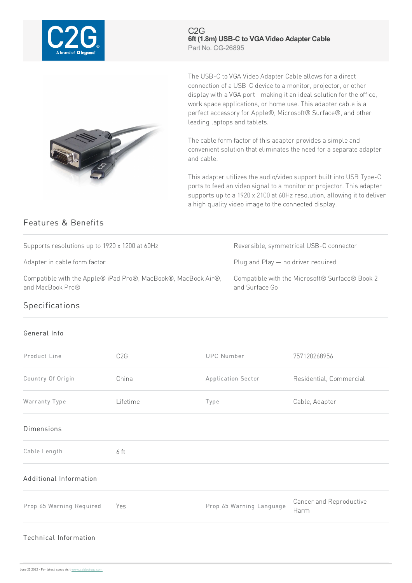

C2G **6ft (1.8m) USB-C to VGAVideo Adapter Cable** Part No. CG-26895



The USB-C to VGA Video Adapter Cable allows for a direct connection of a USB-C device to a monitor, projector, or other display with a VGA port--making it an ideal solution for the office, work space applications, or home use. This adapter cable is a perfect accessory for Apple®, Microsoft® Surface®, and other leading laptops and tablets.

The cable form factor of this adapter provides a simple and convenient solution that eliminates the need for a separate adapter and cable.

This adapter utilizes the audio/video support built into USB Type-C ports to feed an video signal to a monitor or projector. This adapter supports up to a 1920 x 2100 at 60Hz resolution, allowing it to deliver a high quality video image to the connected display.

## Features & Benefits

Supports resolutions up to 1920 x 1200 at 60Hz Reversible, symmetrical USB-C connector

Compatible with the Apple® iPad Pro®, MacBook®, MacBook Air®, and MacBook Pro®

Adapter in cable form factor example and Plug and Play — no driver required

Compatible with the Microsoft® Surface® Book 2 and Surface Go

## Specifications

## General Info

| Product Line                 | C <sub>2</sub> G | <b>UPC Number</b>        | 757120268956                    |
|------------------------------|------------------|--------------------------|---------------------------------|
| Country Of Origin            | China            | Application Sector       | Residential, Commercial         |
| Warranty Type                | Lifetime         | Type                     | Cable, Adapter                  |
| <b>Dimensions</b>            |                  |                          |                                 |
| Cable Length                 | 6 ft             |                          |                                 |
| Additional Information       |                  |                          |                                 |
| Prop 65 Warning Required     | Yes              | Prop 65 Warning Language | Cancer and Reproductive<br>Harm |
| <b>Technical Information</b> |                  |                          |                                 |